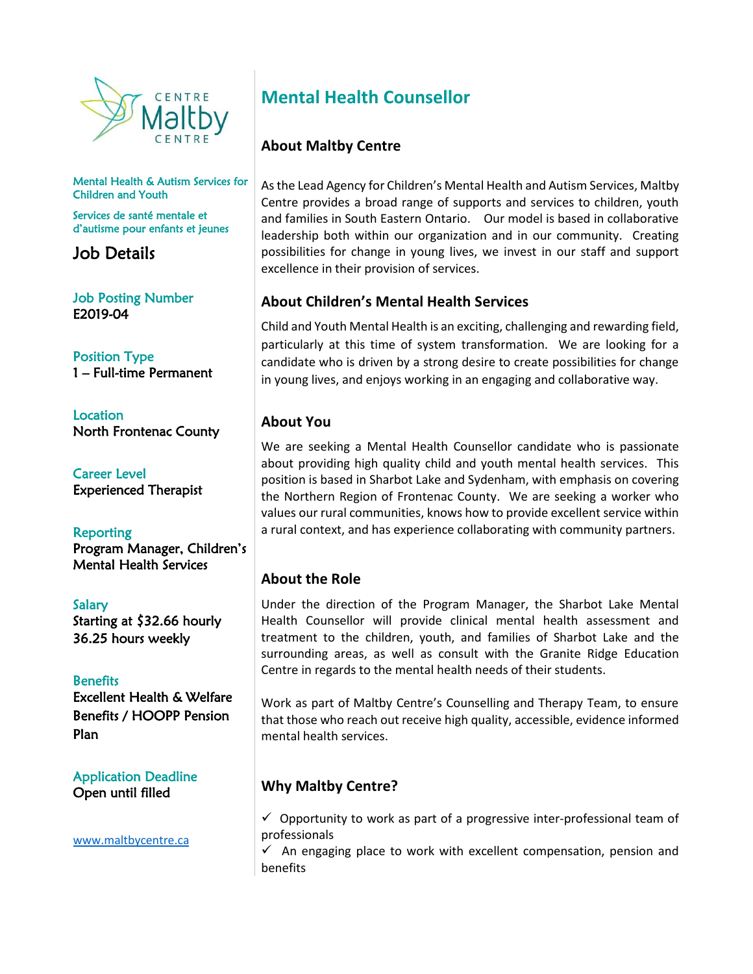

Mental Health & Autism Services for Children and Youth

Services de santé mentale et d'autisme pour enfants et jeunes

Job Details

Job Posting Number E2019-04

Position Type 1 – Full-time Permanent

**Location** North Frontenac County

Career Level Experienced Therapist

**Reporting** Program Manager, Children's Mental Health Services

Salary Starting at \$32.66 hourly 36.25 hours weekly

**Benefits** Excellent Health & Welfare Benefits / HOOPP Pension Plan

Application Deadline Open until filled

[www.maltbycentre.ca](http://www.maltbycentre.ca/)

# **Mental Health Counsellor**

## **About Maltby Centre**

As the Lead Agency for Children's Mental Health and Autism Services, Maltby Centre provides a broad range of supports and services to children, youth and families in South Eastern Ontario. Our model is based in collaborative leadership both within our organization and in our community. Creating possibilities for change in young lives, we invest in our staff and support excellence in their provision of services.

## **About Children's Mental Health Services**

Child and Youth Mental Health is an exciting, challenging and rewarding field, particularly at this time of system transformation. We are looking for a candidate who is driven by a strong desire to create possibilities for change in young lives, and enjoys working in an engaging and collaborative way.

#### **About You**

We are seeking a Mental Health Counsellor candidate who is passionate about providing high quality child and youth mental health services. This position is based in Sharbot Lake and Sydenham, with emphasis on covering the Northern Region of Frontenac County. We are seeking a worker who values our rural communities, knows how to provide excellent service within a rural context, and has experience collaborating with community partners.

## **About the Role**

Under the direction of the Program Manager, the Sharbot Lake Mental Health Counsellor will provide clinical mental health assessment and treatment to the children, youth, and families of Sharbot Lake and the surrounding areas, as well as consult with the Granite Ridge Education Centre in regards to the mental health needs of their students.

Work as part of Maltby Centre's Counselling and Therapy Team, to ensure that those who reach out receive high quality, accessible, evidence informed mental health services.

# **Why Maltby Centre?**

 $\checkmark$  Opportunity to work as part of a progressive inter-professional team of professionals

 $\checkmark$  An engaging place to work with excellent compensation, pension and benefits